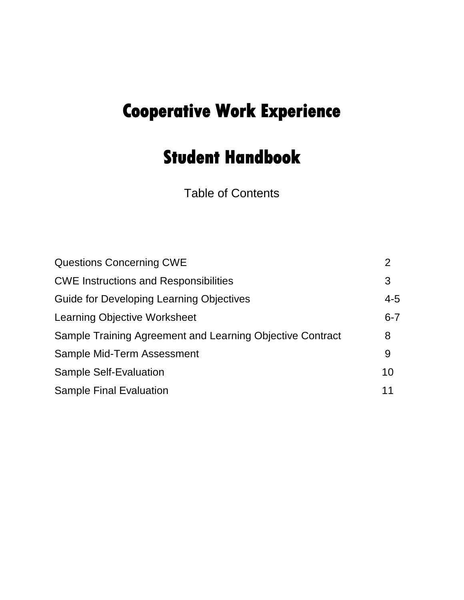# **Cooperative Work Experience**

# **Student Handbook**

Table of Contents

| <b>Questions Concerning CWE</b>                           | 2       |
|-----------------------------------------------------------|---------|
| <b>CWE Instructions and Responsibilities</b>              | 3       |
| Guide for Developing Learning Objectives                  | $4 - 5$ |
| Learning Objective Worksheet                              | $6 - 7$ |
| Sample Training Agreement and Learning Objective Contract | 8       |
| Sample Mid-Term Assessment                                | 9       |
| <b>Sample Self-Evaluation</b>                             | 10      |
| <b>Sample Final Evaluation</b>                            | 11      |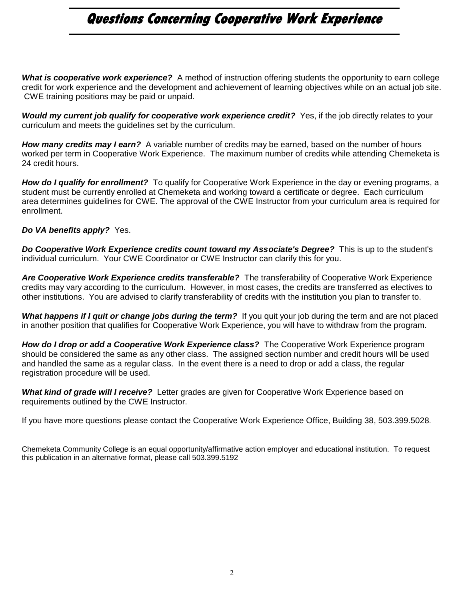# **Questions Concerning Cooperative Work Experience**

*What is cooperative work experience?* A method of instruction offering students the opportunity to earn college credit for work experience and the development and achievement of learning objectives while on an actual job site. CWE training positions may be paid or unpaid.

*Would my current job qualify for cooperative work experience credit?* Yes, if the job directly relates to your curriculum and meets the guidelines set by the curriculum.

*How many credits may I earn?* A variable number of credits may be earned, based on the number of hours worked per term in Cooperative Work Experience. The maximum number of credits while attending Chemeketa is 24 credit hours.

*How do I qualify for enrollment?* To qualify for Cooperative Work Experience in the day or evening programs, a student must be currently enrolled at Chemeketa and working toward a certificate or degree. Each curriculum area determines guidelines for CWE. The approval of the CWE Instructor from your curriculum area is required for enrollment.

#### *Do VA benefits apply?* Yes.

*Do Cooperative Work Experience credits count toward my Associate's Degree?* This is up to the student's individual curriculum. Your CWE Coordinator or CWE Instructor can clarify this for you.

*Are Cooperative Work Experience credits transferable?* The transferability of Cooperative Work Experience credits may vary according to the curriculum. However, in most cases, the credits are transferred as electives to other institutions. You are advised to clarify transferability of credits with the institution you plan to transfer to.

*What happens if I quit or change jobs during the term?* If you quit your job during the term and are not placed in another position that qualifies for Cooperative Work Experience, you will have to withdraw from the program.

*How do I drop or add a Cooperative Work Experience class?* The Cooperative Work Experience program should be considered the same as any other class. The assigned section number and credit hours will be used and handled the same as a regular class. In the event there is a need to drop or add a class, the regular registration procedure will be used.

*What kind of grade will I receive?* Letter grades are given for Cooperative Work Experience based on requirements outlined by the CWE Instructor.

If you have more questions please contact the Cooperative Work Experience Office, Building 38, 503.399.5028.

Chemeketa Community College is an equal opportunity/affirmative action employer and educational institution. To request this publication in an alternative format, please call 503.399.5192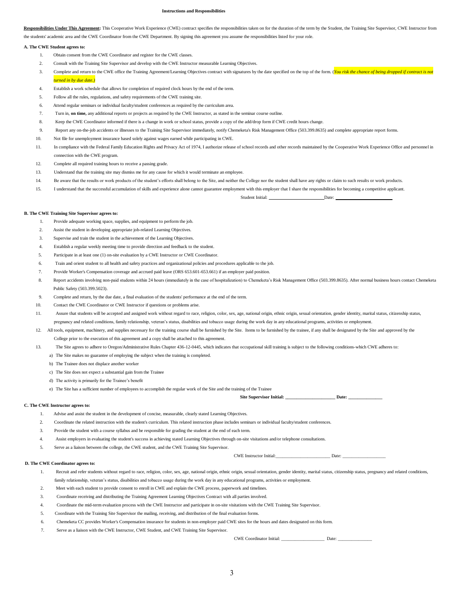#### **Instructions and Responsibilities**

Responsibilities Under This Agreement: This Cooperative Work Experience (CWE) contract specifies the responsibilities taken on for the duration of the term by the Student, the Training Site Supervisor, CWE Instructor from the students' academic area and the CWE Coordinator from the CWE Department. By signing this agreement you assume the responsibilities listed for your role.

#### **A. The CWE Student agrees to:**

- 1. Obtain consent from the CWE Coordinator and register for the CWE classes.
- 2. Consult with the Training Site Supervisor and develop with the CWE Instructor measurable Learning Objectives.
- 3. Complete and return to the CWE office the Training Agreement/Learning Objectives contract with signatures by the date specified on the top of the form. (*You risk the chance of being dropped if contract is not turned in by due date.)*
- 4. Establish a work schedule that allows for completion of required clock hours by the end of the term.
- 5. Follow all the rules, regulations, and safety requirements of the CWE training site.
- 6. Attend regular seminars or individual faculty/student conferences as required by the curriculum area.
- 7. Turn in, **on time,** any additional reports or projects as required by the CWE Instructor, as stated in the seminar course outline.
- 8. Keep the CWE Coordinator informed if there is a change in work or school status, provide a copy of the add/drop form if CWE credit hours change
- 9. Report any on-the-job accidents or illnesses to the Training Site Supervisor immediately, notify Chemeketa's Risk Management Office (503.399.8635) and complete appropriate report forms.
- 10. Not file for unemployment insurance based solely against wages earned while participating in CWE.
- 11. In compliance with the Federal Family Education Rights and Privacy Act of 1974, I authorize release of school records and other records maintained by the Cooperative Work Experience Office and personnel in connection with the CWE program.
- 12. Complete all required training hours to receive a passing grade.
- 13. Understand that the training site may dismiss me for any cause for which it would terminate an employee.
- 14. Be aware that the results or work products of the student's efforts shall belong to the Site, and neither the College nor the student shall have any rights or claim to such results or work products.
- 15. I understand that the successful accumulation of skills and experience alone cannot guarantee employment with this employer that I share the responsibilities for becoming a competitive applicant.

Student Initial: Date:

#### **B. The CWE Training Site Supervisor agrees to:**

- 1. Provide adequate working space, supplies, and equipment to perform the job.
- 2. Assist the student in developing appropriate job-related Learning Objectives.
- 3. Supervise and train the student in the achievement of the Learning Objectives.
- 4. Establish a regular weekly meeting time to provide direction and feedback to the student.
- 5. Participate in at least one (1) on-site evaluation by a CWE Instructor or CWE Coordinator.
- 6. Train and orient student to all health and safety practices and organizational policies and procedures applicable to the job.
- Provide Worker's Compensation coverage and accrued paid leave (ORS 653.601-653.661) if an employer paid position.
- 8. Report accidents involving non-paid students within 24 hours (immediately in the case of hospitalization) to Chemeketa's Risk Management Office (503.399.8635). After normal business hours contact Chemeketa Public Safety (503.399.5023).
- 9. Complete and return, by the due date, a final evaluation of the students' performance at the end of the term.
- 10. Contact the CWE Coordinator or CWE Instructor if questions or problems arise.
- 11. Assure that students will be accepted and assigned work without regard to race, religion, color, sex, age, national origin, ethnic origin, sexual orientation, gender identity, marital status, citizenship status, pregnancy and related conditions, family relationship, veteran's status, disabilities and tobacco usage during the work day in any educational programs, activities or employment.
- 12. All tools, equipment, machinery, and supplies necessary for the training course shall be furnished by the Site. Items to be furnished by the trainee, if any shall be designated by the Site and approved by the College prior to the execution of this agreement and a copy shall be attached to this agreement.
- 13. The Site agrees to adhere to Oregon/Administrative Rules Chapter 436-12-0445, which indicates that occupational skill training is subject to the following conditions-which CWE adheres to:
	- a) The Site makes no guarantee of employing the subject when the training is completed.
	- b) The Trainee does not displace another worker
	- c) The Site does not expect a substantial gain from the Trainee
	- d) The activity is primarily for the Trainee's benefit

e) The Site has a sufficient number of employees to accomplish the regular work of the Site and the training of the Trainee

**Site Supervisor Initial: Date: Date:** 

#### **C. The CWE Instructor agrees to:**

- 1. Advise and assist the student in the development of concise, measurable, clearly stated Learning Objectives.
- 2. Coordinate the related instruction with the student's curriculum. This related instruction phase includes seminars or individual faculty/student conferences.
- 3. Provide the student with a course syllabus and be responsible for grading the student at the end of each term.
- 4. Assist employers in evaluating the student's success in achieving stated Learning Objectives through on-site visitations and/or telephone consultations.
- 5. Serve as a liaison between the college, the CWE student, and the CWE Training Site Supervisor.

#### **D. The CWE Coordinator agrees to:**

- 1. Recruit and refer students without regard to race, religion, color, sex, age, national origin, ethnic origin, sexual orientation, gender identity, marital status, citizenship status, pregnancy and related conditions, family relationship, veteran's status, disabilities and tobacco usage during the work day in any educational programs, activities or employment.
- 2. Meet with each student to provide consent to enroll in CWE and explain the CWE process, paperwork and timelines.
- 3. Coordinate receiving and distributing the Training Agreement Learning Objectives Contract with all parties involved.
- 4. Coordinate the mid-term evaluation process with the CWE Instructor and participate in on-site visitations with the CWE Training Site Supervisor.
- 5. Coordinate with the Training Site Supervisor the mailing, receiving, and distribution of the final evaluation forms.
- 6. Chemeketa CC provides Worker's Compensation insurance for students in non-employer paid CWE sites for the hours and dates designated on this form.
- 7. Serve as a liaison with the CWE Instructor, CWE Student, and CWE Training Site Supervisor.

CWE Coordinator Initial: \_\_\_\_\_\_\_\_\_\_\_\_\_\_\_\_\_\_\_ Date: \_\_\_\_\_\_\_\_\_\_\_\_\_\_\_

CWE Instructor Initial:\_\_\_\_\_\_\_\_\_\_\_\_\_\_\_\_\_\_\_\_\_\_\_\_\_\_\_\_\_\_\_\_\_ Date: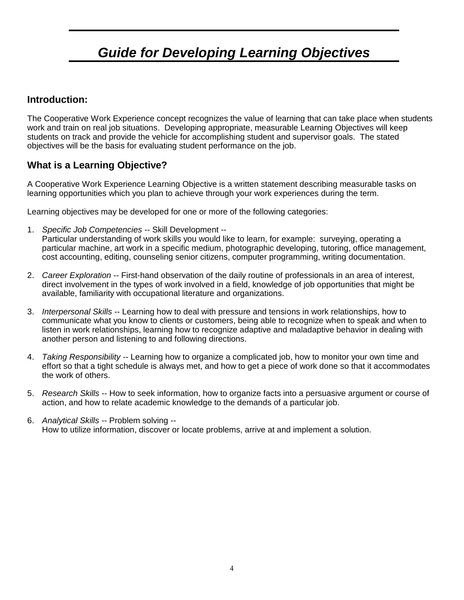# *Guide for Developing Learning Objectives*

## **Introduction:**

The Cooperative Work Experience concept recognizes the value of learning that can take place when students work and train on real job situations. Developing appropriate, measurable Learning Objectives will keep students on track and provide the vehicle for accomplishing student and supervisor goals. The stated objectives will be the basis for evaluating student performance on the job.

## **What is a Learning Objective?**

A Cooperative Work Experience Learning Objective is a written statement describing measurable tasks on learning opportunities which you plan to achieve through your work experiences during the term.

Learning objectives may be developed for one or more of the following categories:

1. *Specific Job Competencies* -- Skill Development --

Particular understanding of work skills you would like to learn, for example: surveying, operating a particular machine, art work in a specific medium, photographic developing, tutoring, office management, cost accounting, editing, counseling senior citizens, computer programming, writing documentation.

- 2. *Career Exploration* -- First-hand observation of the daily routine of professionals in an area of interest, direct involvement in the types of work involved in a field, knowledge of job opportunities that might be available, familiarity with occupational literature and organizations.
- 3. *Interpersonal Skills* -- Learning how to deal with pressure and tensions in work relationships, how to communicate what you know to clients or customers, being able to recognize when to speak and when to listen in work relationships, learning how to recognize adaptive and maladaptive behavior in dealing with another person and listening to and following directions.
- 4. *Taking Responsibility* -- Learning how to organize a complicated job, how to monitor your own time and effort so that a tight schedule is always met, and how to get a piece of work done so that it accommodates the work of others.
- 5. *Research Skills* -- How to seek information, how to organize facts into a persuasive argument or course of action, and how to relate academic knowledge to the demands of a particular job.
- 6. *Analytical Skills* -- Problem solving -- How to utilize information, discover or locate problems, arrive at and implement a solution.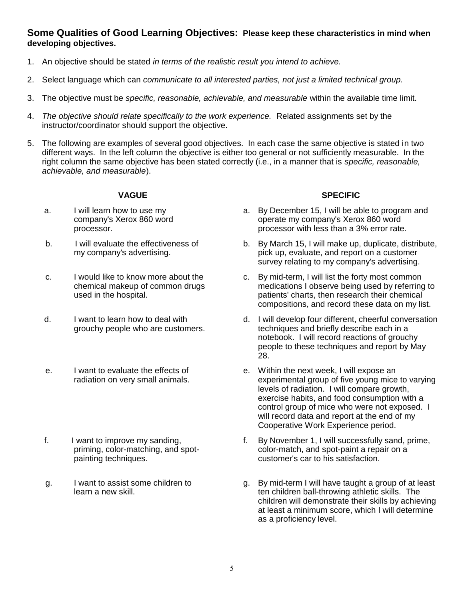#### **Some Qualities of Good Learning Objectives: Please keep these characteristics in mind when developing objectives.**

- 1. An objective should be stated *in terms of the realistic result you intend to achieve.*
- 2. Select language which can *communicate to all interested parties, not just a limited technical group.*
- 3. The objective must be *specific, reasonable, achievable, and measurable* within the available time limit.
- 4. *The objective should relate specifically to the work experience.* Related assignments set by the instructor/coordinator should support the objective.
- 5. The following are examples of several good objectives. In each case the same objective is stated in two different ways. In the left column the objective is either too general or not sufficiently measurable. In the right column the same objective has been stated correctly (i.e., in a manner that is *specific, reasonable, achievable, and measurable*).

- a. I will learn how to use my company's Xerox 860 word processor.
- b. I will evaluate the effectiveness of my company's advertising.
- c. I would like to know more about the chemical makeup of common drugs used in the hospital.
- d. I want to learn how to deal with grouchy people who are customers.
- e. I want to evaluate the effects of radiation on very small animals.
- f. I want to improve my sanding, priming, color-matching, and spotpainting techniques.
- g. I want to assist some children to learn a new skill.

#### **VAGUE SPECIFIC**

- a. By December 15, I will be able to program and operate my company's Xerox 860 word processor with less than a 3% error rate.
- b. By March 15, I will make up, duplicate, distribute, pick up, evaluate, and report on a customer survey relating to my company's advertising.
- c. By mid-term, I will list the forty most common medications I observe being used by referring to patients' charts, then research their chemical compositions, and record these data on my list.
- d. I will develop four different, cheerful conversation techniques and briefly describe each in a notebook. I will record reactions of grouchy people to these techniques and report by May 28.
- e. Within the next week, I will expose an experimental group of five young mice to varying levels of radiation. I will compare growth, exercise habits, and food consumption with a control group of mice who were not exposed. I will record data and report at the end of my Cooperative Work Experience period.
- f. By November 1, I will successfully sand, prime, color-match, and spot-paint a repair on a customer's car to his satisfaction.
- g. By mid-term I will have taught a group of at least ten children ball-throwing athletic skills. The children will demonstrate their skills by achieving at least a minimum score, which I will determine as a proficiency level.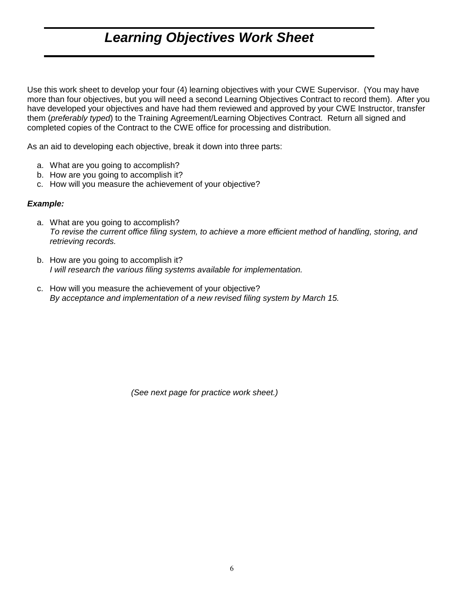## *Learning Objectives Work Sheet*

Use this work sheet to develop your four (4) learning objectives with your CWE Supervisor. (You may have more than four objectives, but you will need a second Learning Objectives Contract to record them). After you have developed your objectives and have had them reviewed and approved by your CWE Instructor, transfer them (*preferably typed*) to the Training Agreement/Learning Objectives Contract. Return all signed and completed copies of the Contract to the CWE office for processing and distribution.

As an aid to developing each objective, break it down into three parts:

- a. What are you going to accomplish?
- b. How are you going to accomplish it?
- c. How will you measure the achievement of your objective?

#### *Example:*

- a. What are you going to accomplish? *To revise the current office filing system, to achieve a more efficient method of handling, storing, and retrieving records.*
- b. How are you going to accomplish it? *I will research the various filing systems available for implementation.*
- c. How will you measure the achievement of your objective? *By acceptance and implementation of a new revised filing system by March 15.*

*(See next page for practice work sheet.)*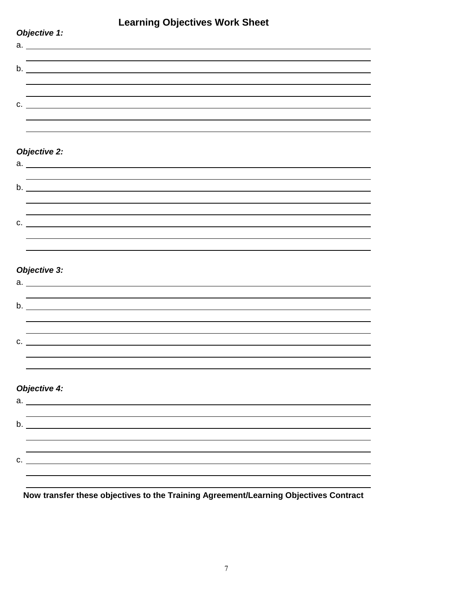## **Learning Objectives Work Sheet**

| Objective 1:                                                                                                     |  |  |  |
|------------------------------------------------------------------------------------------------------------------|--|--|--|
|                                                                                                                  |  |  |  |
|                                                                                                                  |  |  |  |
| $b.$ $\overline{\phantom{a}}$                                                                                    |  |  |  |
|                                                                                                                  |  |  |  |
|                                                                                                                  |  |  |  |
| $C.$ $C.$                                                                                                        |  |  |  |
|                                                                                                                  |  |  |  |
|                                                                                                                  |  |  |  |
|                                                                                                                  |  |  |  |
| <b>Objective 2:</b>                                                                                              |  |  |  |
| $a.$ $\overline{\phantom{a}}$                                                                                    |  |  |  |
|                                                                                                                  |  |  |  |
| $\mathsf b.$ $\blacksquare$                                                                                      |  |  |  |
|                                                                                                                  |  |  |  |
|                                                                                                                  |  |  |  |
| $C.$ $\qquad \qquad$                                                                                             |  |  |  |
|                                                                                                                  |  |  |  |
|                                                                                                                  |  |  |  |
|                                                                                                                  |  |  |  |
| <b>Objective 3:</b>                                                                                              |  |  |  |
|                                                                                                                  |  |  |  |
|                                                                                                                  |  |  |  |
|                                                                                                                  |  |  |  |
|                                                                                                                  |  |  |  |
|                                                                                                                  |  |  |  |
| c.<br><u>and the contract of the contract of the contract of the contract of the contract of the contract of</u> |  |  |  |
|                                                                                                                  |  |  |  |
|                                                                                                                  |  |  |  |
|                                                                                                                  |  |  |  |
| <b>Objective 4:</b>                                                                                              |  |  |  |
| $a.$ $\overline{\phantom{a}}$                                                                                    |  |  |  |
|                                                                                                                  |  |  |  |
| b.                                                                                                               |  |  |  |
|                                                                                                                  |  |  |  |
|                                                                                                                  |  |  |  |
| c.                                                                                                               |  |  |  |
|                                                                                                                  |  |  |  |
|                                                                                                                  |  |  |  |

**Now transfer these objectives to the Training Agreement/Learning Objectives Contract**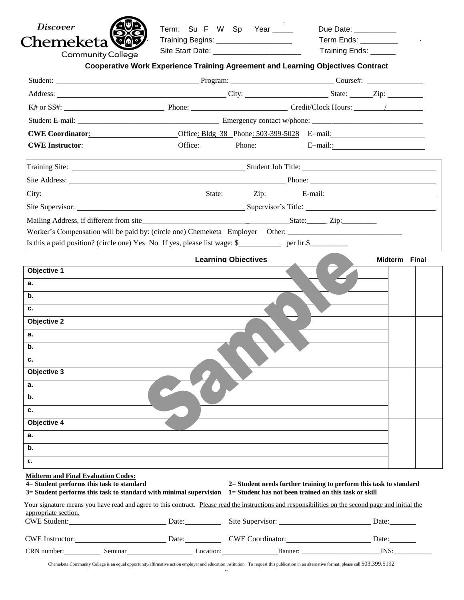| <i>Discover</i>                                  | Term: Su F W Sp Year ____                                                                                                                                                                                                            | Term Ends: ________    |
|--------------------------------------------------|--------------------------------------------------------------------------------------------------------------------------------------------------------------------------------------------------------------------------------------|------------------------|
| Chemeketa'                                       | Training Begins: ______________________<br>Site Start Date: ________________________                                                                                                                                                 | Training Ends: _______ |
| <b>Community College</b>                         |                                                                                                                                                                                                                                      |                        |
|                                                  | <b>Cooperative Work Experience Training Agreement and Learning Objectives Contract</b>                                                                                                                                               |                        |
|                                                  | Student: Course#: Course = Course = Course = Course = Course = Course = Course = Course = Course = Course = Course = Course = Course = Course = Course = Course = Course = Course = Course = Course = Course = Course = Course       |                        |
|                                                  | Address: <u>City:</u> City: City: State: Zip:                                                                                                                                                                                        |                        |
|                                                  |                                                                                                                                                                                                                                      |                        |
|                                                  |                                                                                                                                                                                                                                      |                        |
|                                                  | CWE Coordinator: 0ffice: Bldg 38 Phone: 503-399-5028 E-mail:                                                                                                                                                                         |                        |
|                                                  | <b>CWE Instructor: CWE Instructor: CHECK</b> Office: <b>Phone: Phone: E</b> -mail:                                                                                                                                                   |                        |
|                                                  |                                                                                                                                                                                                                                      |                        |
|                                                  | Site Address: <u>New York: New York: New York: New York: New York: New York: New York: New York: New York: New York: New York: New York: New York: New York: New York: New York: New York: New York: New York: New York: New Yor</u> |                        |
|                                                  | City: <u>City: E-mail:</u>                                                                                                                                                                                                           |                        |
|                                                  |                                                                                                                                                                                                                                      |                        |
|                                                  |                                                                                                                                                                                                                                      |                        |
|                                                  | Worker's Compensation will be paid by: (circle one) Chemeketa Employer Other: ______________________<br>Is this a paid position? (circle one) Yes No If yes, please list wage: \$ per hr.\$<br><b>Learning Objectives</b>            | Midterm Final          |
|                                                  |                                                                                                                                                                                                                                      |                        |
| Objective 1<br>а.                                |                                                                                                                                                                                                                                      |                        |
| b.                                               |                                                                                                                                                                                                                                      |                        |
| c.                                               |                                                                                                                                                                                                                                      |                        |
| <b>Objective 2</b>                               |                                                                                                                                                                                                                                      |                        |
| а.                                               |                                                                                                                                                                                                                                      |                        |
| b.                                               |                                                                                                                                                                                                                                      |                        |
| c.                                               |                                                                                                                                                                                                                                      |                        |
| Objective 3                                      |                                                                                                                                                                                                                                      |                        |
| а.                                               |                                                                                                                                                                                                                                      |                        |
| b.                                               |                                                                                                                                                                                                                                      |                        |
| c.                                               |                                                                                                                                                                                                                                      |                        |
| Objective 4                                      |                                                                                                                                                                                                                                      |                        |
| a.                                               |                                                                                                                                                                                                                                      |                        |
| b.                                               |                                                                                                                                                                                                                                      |                        |
| c.<br><b>Midterm and Final Evaluation Codes:</b> |                                                                                                                                                                                                                                      |                        |

| <b>CWE Student:</b>    |         | Date:     | Site Supervisor:        | Date: |
|------------------------|---------|-----------|-------------------------|-------|
| <b>CWE</b> Instructor: |         | Date:     | <b>CWE</b> Coordinator: | )ate: |
| CRN number:            | Seminar | _ocation: | Banner:                 | INS:  |

Chemeketa Community College is an equal opportunity/affirmative action employer and education institution. To request this publication in an alternative format, please call 503.399.5192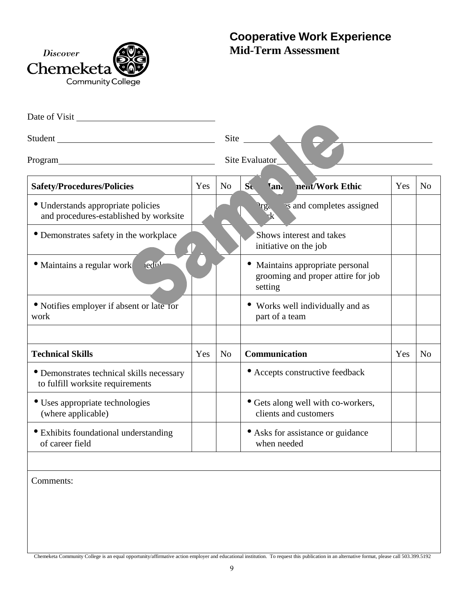

# **Mid-Term Assessment**

| <i>Discover</i><br>Chemeketa<br><b>Community College</b>                                                                                                                                                 |     |                | <b>Cooperative Work Experience</b><br><b>Mid-Term Assessment</b>                |     |                |
|----------------------------------------------------------------------------------------------------------------------------------------------------------------------------------------------------------|-----|----------------|---------------------------------------------------------------------------------|-----|----------------|
| Date of Visit                                                                                                                                                                                            |     |                |                                                                                 |     |                |
| Student                                                                                                                                                                                                  |     |                | Site $\frac{ }{ }$                                                              |     |                |
| Program                                                                                                                                                                                                  |     |                | Site Evaluator                                                                  |     |                |
| <b>Safety/Procedures/Policies</b>                                                                                                                                                                        | Yes | N <sub>o</sub> | nent/Work Ethic<br>$S_{\mathbf{t}}$<br><b>Tana</b>                              | Yes | N <sub>o</sub> |
| · Understands appropriate policies<br>and procedures-established by worksite                                                                                                                             |     |                | is and completes assigned<br><i>Irg.</i>                                        |     |                |
| • Demonstrates safety in the workplace                                                                                                                                                                   |     |                | Shows interest and takes<br>initiative on the job                               |     |                |
| $led^{n_1}$<br>· Maintains a regular work                                                                                                                                                                |     |                | Maintains appropriate personal<br>grooming and proper attire for job<br>setting |     |                |
| • Notifies employer if absent or late for<br>work                                                                                                                                                        |     |                | Works well individually and as<br>part of a team                                |     |                |
| <b>Technical Skills</b>                                                                                                                                                                                  | Yes | N <sub>o</sub> | Communication                                                                   | Yes | N <sub>0</sub> |
| • Demonstrates technical skills necessary<br>to fulfill worksite requirements                                                                                                                            |     |                | • Accepts constructive feedback                                                 |     |                |
| • Uses appropriate technologies<br>(where applicable)                                                                                                                                                    |     |                | • Gets along well with co-workers,<br>clients and customers                     |     |                |
| • Exhibits foundational understanding<br>of career field                                                                                                                                                 |     |                | • Asks for assistance or guidance<br>when needed                                |     |                |
| Comments:<br>Chemeketa Community College is an equal opportunity/affirmative action employer and educational institution. To request this publication in an alternative format, please call 503.399.5192 |     |                |                                                                                 |     |                |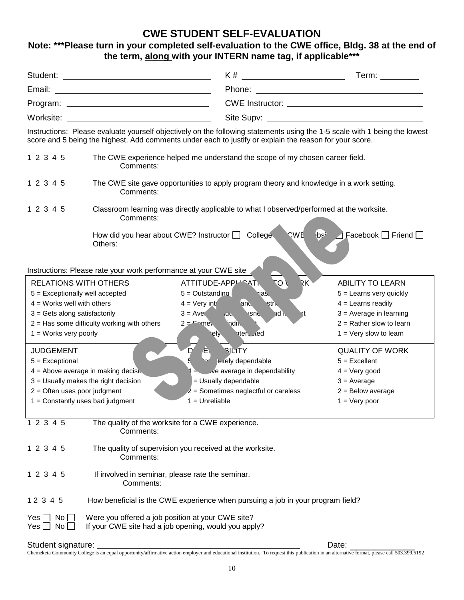## **CWE STUDENT SELF-EVALUATION**

## **Note: \*\*\*Please turn in your completed self-evaluation to the CWE office, Bldg. 38 at the end of the term, along with your INTERN name tag, if applicable\*\*\***

|                                                                                                                                  |                                                                                                                                                                                                                                       | K #                                                                  | Term: $\_\_$                                      |  |
|----------------------------------------------------------------------------------------------------------------------------------|---------------------------------------------------------------------------------------------------------------------------------------------------------------------------------------------------------------------------------------|----------------------------------------------------------------------|---------------------------------------------------|--|
| Email:<br><u> 1980 - Johann Barn, mars ann an t-Amhair ann an t-Amhair an t-Amhair an t-Amhair an t-Amhair an t-Amhair an t-</u> |                                                                                                                                                                                                                                       |                                                                      |                                                   |  |
|                                                                                                                                  |                                                                                                                                                                                                                                       |                                                                      |                                                   |  |
| Worksite:                                                                                                                        |                                                                                                                                                                                                                                       |                                                                      |                                                   |  |
|                                                                                                                                  | Instructions: Please evaluate yourself objectively on the following statements using the 1-5 scale with 1 being the lowest<br>score and 5 being the highest. Add comments under each to justify or explain the reason for your score. |                                                                      |                                                   |  |
| 1 2 3 4 5                                                                                                                        | The CWE experience helped me understand the scope of my chosen career field.<br>Comments:                                                                                                                                             |                                                                      |                                                   |  |
| 1 2 3 4 5                                                                                                                        | The CWE site gave opportunities to apply program theory and knowledge in a work setting.<br>Comments:                                                                                                                                 |                                                                      |                                                   |  |
| 1 2 3 4 5                                                                                                                        | Classroom learning was directly applicable to what I observed/performed at the worksite.<br>Comments:                                                                                                                                 |                                                                      |                                                   |  |
|                                                                                                                                  | How did you hear about CWE? Instructor   College<br>Others:                                                                                                                                                                           | <b>CWE</b>                                                           | $b^2$<br>Facebook $\Box$ Friend $\Box$            |  |
|                                                                                                                                  | Instructions: Please rate your work performance at your CWE site                                                                                                                                                                      |                                                                      |                                                   |  |
| <b>RELATIONS WITH OTHERS</b>                                                                                                     |                                                                                                                                                                                                                                       | то ∖<br>RK)<br>ATTITUDE-APPL'^4Ti                                    | <b>ABILITY TO LEARN</b>                           |  |
| 5 = Exceptionally well accepted                                                                                                  | $5 =$ Outstanding                                                                                                                                                                                                                     | ias.                                                                 | $5 =$ Learns very quickly                         |  |
| $4 =$ Works well with others<br>$3 = Gets$ along satisfactorily                                                                  | $4 = \text{Very int}$<br>$3 = Ave$                                                                                                                                                                                                    | and,<br><b>stric</b><br>nd in<br>$\overline{a}$<br><b>ISNE</b><br>۲t | $4 =$ Learns readily<br>$3 = Average$ in learning |  |
|                                                                                                                                  | 2 = Has some difficulty working with others<br>$2 =$ $\text{2}$ $\text{2}$                                                                                                                                                            | indit.                                                               | $2 =$ Rather slow to learn                        |  |
| $1 =$ Works very poorly                                                                                                          |                                                                                                                                                                                                                                       | nterested<br>rely.                                                   | $1 = \text{Very}$ slow to learn                   |  |
| <b>JUDGEMENT</b>                                                                                                                 | $\overline{D}$<br>Æ.                                                                                                                                                                                                                  | <b>RILITY</b>                                                        | <b>QUALITY OF WORK</b>                            |  |
| $5 = Exceptional$                                                                                                                |                                                                                                                                                                                                                                       | letely dependable                                                    | $5 =$ Excellent                                   |  |
|                                                                                                                                  | $4 =$ Above average in making decisive                                                                                                                                                                                                | $\frac{1}{4}$ $\frac{1}{2}$ ve average in dependability              | $4 = Very good$                                   |  |
|                                                                                                                                  | 3 = Usually makes the right decision                                                                                                                                                                                                  | = Usually dependable                                                 | $3 = Average$                                     |  |
| $2 =$ Often uses poor judgment                                                                                                   |                                                                                                                                                                                                                                       | $2$ = Sometimes neglectful or careless                               | $2 =$ Below average                               |  |
|                                                                                                                                  | $1 =$ Unreliable<br>$1 =$ Constantly uses bad judgment                                                                                                                                                                                |                                                                      | $1 = \text{Very poor}$                            |  |
| 1 2 3 4 5                                                                                                                        | The quality of the worksite for a CWE experience.<br>Comments:                                                                                                                                                                        |                                                                      |                                                   |  |
| 1 2 3 4 5                                                                                                                        | The quality of supervision you received at the worksite.<br>Comments:                                                                                                                                                                 |                                                                      |                                                   |  |
| 1 2 3 4 5                                                                                                                        | If involved in seminar, please rate the seminar.<br>Comments:                                                                                                                                                                         |                                                                      |                                                   |  |
| 12 3 4 5                                                                                                                         | How beneficial is the CWE experience when pursuing a job in your program field?                                                                                                                                                       |                                                                      |                                                   |  |
| No<br>$Yes \Box$<br>No $\square$<br>Yes                                                                                          | Were you offered a job position at your CWE site?<br>If your CWE site had a job opening, would you apply?                                                                                                                             |                                                                      |                                                   |  |

Student signature: Date:

Chemeketa Community College is an equal opportunity/affirmative action employer and educational institution. To request this publication in an alternative format, please call 503.399.5192